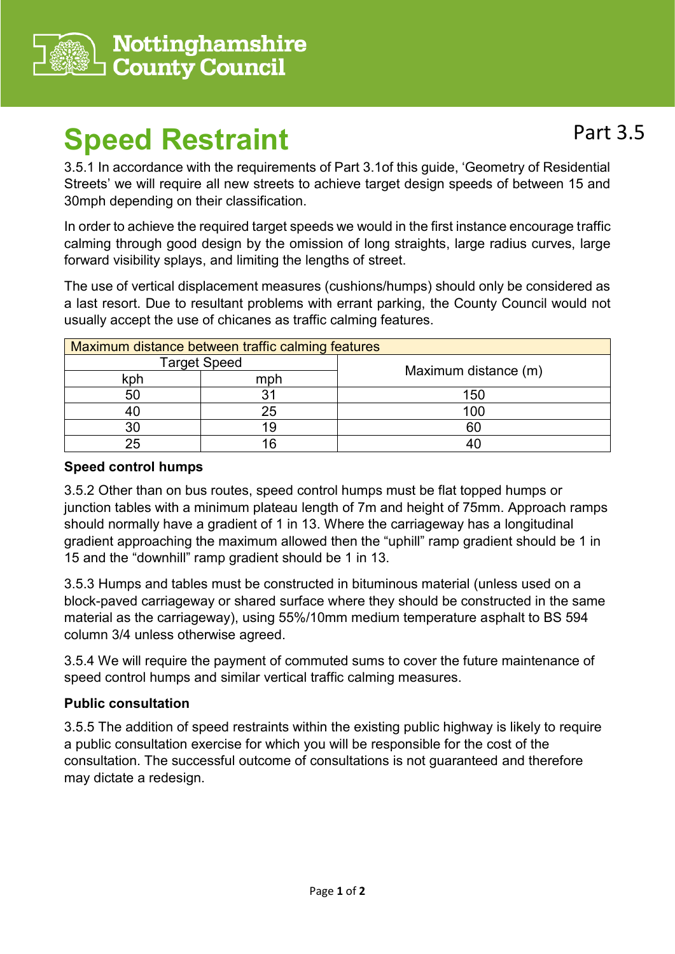

# **Speed Restraint**

3.5.1 In accordance with the requirements of Part 3.1of this guide, 'Geometry of Residential Streets' we will require all new streets to achieve target design speeds of between 15 and 30mph depending on their classification.

In order to achieve the required target speeds we would in the first instance encourage traffic calming through good design by the omission of long straights, large radius curves, large forward visibility splays, and limiting the lengths of street.

The use of vertical displacement measures (cushions/humps) should only be considered as a last resort. Due to resultant problems with errant parking, the County Council would not usually accept the use of chicanes as traffic calming features.

| Maximum distance between traffic calming features |     |                      |
|---------------------------------------------------|-----|----------------------|
| <b>Target Speed</b>                               |     |                      |
| kph                                               | mph | Maximum distance (m) |
| 50                                                |     | 150                  |
|                                                   | 25  | 100                  |
| 30                                                | 19  | 60                   |
| <b>25</b>                                         | .6  |                      |

## **Speed control humps**

3.5.2 Other than on bus routes, speed control humps must be flat topped humps or junction tables with a minimum plateau length of 7m and height of 75mm. Approach ramps should normally have a gradient of 1 in 13. Where the carriageway has a longitudinal gradient approaching the maximum allowed then the "uphill" ramp gradient should be 1 in 15 and the "downhill" ramp gradient should be 1 in 13.

3.5.3 Humps and tables must be constructed in bituminous material (unless used on a block-paved carriageway or shared surface where they should be constructed in the same material as the carriageway), using 55%/10mm medium temperature asphalt to BS 594 column 3/4 unless otherwise agreed.

3.5.4 We will require the payment of commuted sums to cover the future maintenance of speed control humps and similar vertical traffic calming measures.

### **Public consultation**

3.5.5 The addition of speed restraints within the existing public highway is likely to require a public consultation exercise for which you will be responsible for the cost of the consultation. The successful outcome of consultations is not guaranteed and therefore may dictate a redesign.